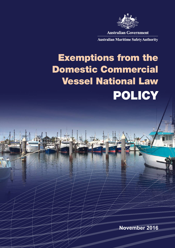

**Australian Government** 

**Australian Maritime Safety Authority** 

# Exemptions from the Domestic Commercial Vessel National Law POLICY

**November 2016**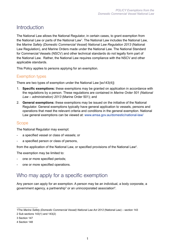## Introduction

The National Law allows the National Regulator, in certain cases, to grant exemption from the National Law or parts of the National Law<sup>1</sup>. The National Law includes the National Law, the *Marine Safety (Domestic Commercial Vessel) National Law Regulation 2013* (National Law Regulation), and Marine Orders made under the National Law. The National Standard for Commercial Vessels (NSCV) and other technical standards do not legally form part of the National Law. Rather, the National Law requires compliance with the NSCV and other applicable standards.

This Policy applies to persons applying for an exemption.

## Exemption types

There are two types of exemption under the National Law [ss143(4)]:

- 1. **Specific exemptions:** these exemptions may be granted on application in accordance with the regulations by a person. These regulations are contained in *Marine Order 501 (National Law – administration) 2013* (Marine Order 501); and
- 2. **General exemptions:** these exemptions may be issued on the initiative of the National Regulator. General exemptions typically have general application to vessels, persons and operations that meet the relevant criteria and conditions in the general exemption. National Law general exemptions can be viewed at: [www.amsa.gov.au/domestic/national-law/](http://www.amsa.gov.au/domestic/national-law/)

#### Scope

The National Regulator may exempt:

- a specified vessel or class of vessels; or
- a specified person or class of persons,

from the application of the National Law, or specified provisions of the National Law<sup>2</sup>.

The exemption may be limited to:

- one or more specified periods;
- one or more specified operations.

## Who may apply for a specific exemption

Any person can apply for an exemption. A person may be an individual, a body corporate, a government agency, a partnership $^3$  or an unincorporated association $^4$ .

<sup>1</sup>The *Marine Safety (Domestic Commercial Vessel) National Law Act 2012* (National Law) – section 143

<sup>2</sup> Sub sections 143(1) and 143(2)

<sup>3</sup> Section 147

<sup>4</sup> Section 148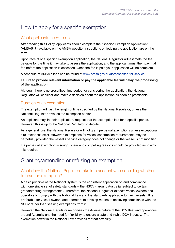# How to apply for a specific exemption

## What applicants need to do

After reading this Policy, applicants should complete the "Specific Exemption Application" (AMSA547) available on the AMSA website. Instructions on lodging the application are on the form.

Upon receipt of a specific exemption application, the National Regulator will estimate the fee payable for the time it may take to assess the application, and the applicant must then pay that fee before the application is assessed. Once the fee is paid your application will be complete.

A schedule of AMSA's fees can be found at [www.amsa.gov.au/domestic/fee-for-service](http://www.amsa.gov.au/domestic/fee-for-service/).

#### **Failure to provide relevant information or pay the applicable fee will delay the processing of the application.**

Although there is no prescribed time period for considering the application, the National Regulator will consider and make a decision about the application as soon as practicable.

## Duration of an exemption

The exemption will last the length of time specified by the National Regulator, unless the National Regulator revokes the exemption earlier.

An applicant may, in their application, request that the exemption last for a specific period. However, this is up to the National Regulator to decide.

As a general rule, the National Regulator will not grant perpetual exemptions unless exceptional circumstances exist. However, exemptions for vessel construction requirements may be perpetual, provided the vessel's service category does not change or the vessel is not modified.

If a perpetual exemption is sought, clear and compelling reasons should be provided as to why it is required.

# Granting/amending or refusing an exemption

#### What does the National Regulator take into account when deciding whether to grant an exemption?

A basic principle of the National System is the consistent application of, and compliance with, one single set of safety standards – the NSCV - around Australia (subject to certain grandfathering arrangements). Therefore, the National Regulator expects vessel owners and operators to comply with the National Law and the standards applicable to their vessels. It is preferable for vessel owners and operators to develop means of achieving compliance with the NSCV rather than seeking exemptions from it.

However, the National Regulator recognises the diverse nature of the DCV fleet and operations around Australia and the need for flexibility to ensure a safe and viable DCV industry. The exemption power in the National Law provides for that flexibility.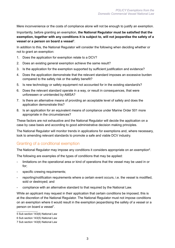Mere inconvenience or the costs of compliance alone will not be enough to justify an exemption.

Importantly, before granting an exemption, **the National Regulator must be satisfied that the exemption, together with any conditions it is subject to, will not jeopardise the safety of a vessel or a person on board a vessel**<sup>5</sup> .

In addition to this, the National Regulator will consider the following when deciding whether or not to grant an exemption:

- 1. Does the application for exemption relate to a DCV?
- 2. Does an existing general exemption achieve the same result?
- 3. Is the application for the exemption supported by sufficient justification and evidence?
- 4. Does the application demonstrate that the relevant standard imposes an excessive burden compared to the safety risk or the safety benefit?
- 5. Is new technology or safety equipment not accounted for in the existing standard/s?
- 6. Does the relevant standard operate in a way, or result in consequences, that were unforeseen or unintended by AMSA?
- 7. Is there an alternative means of providing an acceptable level of safety and does the application demonstrate this?
- 8. Is an application for an equivalent means of compliance under Marine Order 501 more appropriate in the circumstances?

These factors are not exhaustive and the National Regulator will decide the application on a case by case basis and according to good administrative decision making principles.

The National Regulator will monitor trends in applications for exemptions and, where necessary, look to amending relevant standards to promote a safe and viable DCV industry.

#### Granting of a conditional exemption

The National Regulator may impose any conditions it considers appropriate on an exemption $^{\circ}$ .

The following are examples of the types of conditions that may be applied:

- limitations on the operational area or kind of operations that the vessel may be used in or for;
- specific crewing requirements;
- reporting/notification requirements where a certain event occurs, i.e. the vessel is modified, sold or destroyed; and
- compliance with an alternative standard to that required by the National Law.

While an applicant may request in their application that certain conditions be imposed, this is at the discretion of the National Regulator. The National Regulator must not impose conditions on an exemption where it would result in the exemption jeopardising the safety of a vessel or a person on board a vessel<sup>7</sup>.

<sup>5</sup> Sub section 143(6) National Law

<sup>6</sup> Sub section 143(5) National Law

<sup>7</sup> Sub section 143(6) National Law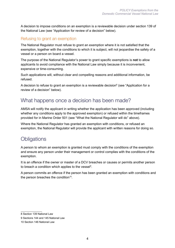A decision to impose conditions on an exemption is a reviewable decision under section 139 of the National Law (see "Application for review of a decision" below).

### Refusing to grant an exemption

The National Regulator must refuse to grant an exemption where it is not satisfied that the exemption, together with the conditions to which it is subject, will not jeopardise the safety of a vessel or a person on board a vessel.

The purpose of the National Regulator's power to grant specific exemptions is **not** to allow applicants to avoid compliance with the National Law simply because it is inconvenient, expensive or time-consuming.

Such applications will, without clear and compelling reasons and additional information, be refused.

A decision to refuse to grant an exemption is a reviewable decision $^8$  (see "Application for a review of a decision" below).

## What happens once a decision has been made?

AMSA will notify the applicant in writing whether the application has been approved (including whether any conditions apply to the approved exemption) or refused within the timeframes provided for in Marine Order 501 (see "What the National Regulator will do" above).

Where the National Regulator has granted an exemption with conditions, or refused an exemption, the National Regulator will provide the applicant with written reasons for doing so.

## **Obligations**

A person to whom an exemption is granted must comply with the conditions of the exemption and ensure any person under their management or control complies with the conditions of the exemption.

It is an offence if the owner or master of a DCV breaches or causes or permits another person to breach a condition which applies to the vessel<sup>9</sup>.

A person commits an offence if the person has been granted an exemption with conditions and the person breaches the condition<sup>10</sup>.

<sup>8</sup> Section 139 National Law

<sup>9</sup> Sections 144 and 145 National Law

<sup>10</sup> Section 146 National Law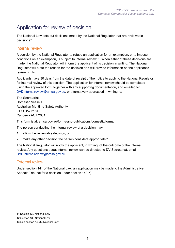# Application for review of decision

The National Law sets out decisions made by the National Regulator that are reviewable decisions<sup>11</sup>.

#### Internal review

A decision by the National Regulator to refuse an application for an exemption, or to impose conditions on an exemption, is subject to internal review<sup>12</sup>. When either of these decisions are made, the National Regulator will inform the applicant of its decision in writing. The National Regulator will state the reason for the decision and will provide information on the applicant's review rights.

Applicants have 30 days from the date of receipt of the notice to apply to the National Regulator for internal review of this decision. The application for internal review should be completed using the approved form, together with any supporting documentation, and emailed to: [DVDInternalreview@amsa.gov.au,](mailto:DVDInternalreview@amsa.gov.au) or alternatively addressed in writing to:

The Secretariat Domestic Vessels Australian Maritime Safety Authority GPO Box 2181 Canberra ACT 2601

This form is at: amsa.gov.au/forms-and-publications/domestic/forms/

The person conducting the internal review of a decision may:

- 1. affirm the reviewable decision; or
- 2. make any other decision the person considers appropriate<sup>13</sup>.

The National Regulator will notify the applicant, in writing, of the outcome of the internal review. Any questions about internal review can be directed to DV Secretariat, email [DVDInternalreview@amsa.gov.au.](mailto:DVDInternalreview@amsa.gov.au)

#### External review

Under section 141 of the National Law, an application may be made to the Administrative Appeals Tribunal for a decision under section 140(5).

<sup>11</sup> Section 139 National Law

<sup>12</sup> Section 139 National Law

<sup>13</sup> Sub section 140(5) National Law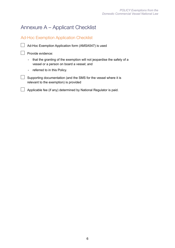# Annexure A – Applicant Checklist

Ad-Hoc Exemption Application Checklist



□ Ad-Hoc Exemption Application form (AMSA547) is used

#### $\Box$  Provide evidence:

- that the granting of the exemption will not jeopardise the safety of a vessel or a person on board a vessel; and
- referred to in this Policy.
- $\Box$  Supporting documentation (and the SMS for the vessel where it is relevant to the exemption) is provided

 $\Box$  Applicable fee (if any) determined by National Regulator is paid.